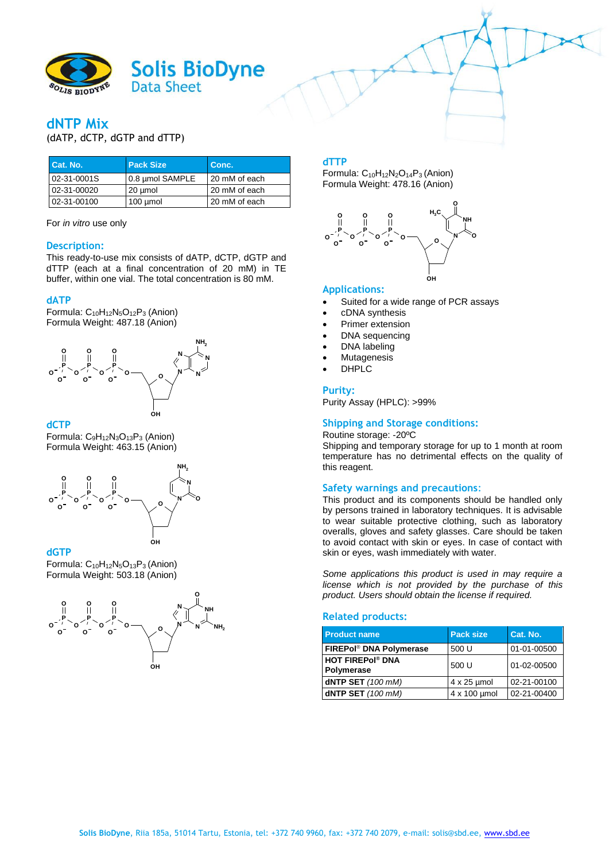

# **dNTP Mix**

(dATP, dCTP, dGTP and dTTP)

| Cat. No.    | <b>Pack Size</b> | Conc.         |
|-------------|------------------|---------------|
| 02-31-0001S | 0.8 µmol SAMPLE  | 20 mM of each |
| 02-31-00020 | 20 umol          | 20 mM of each |
| 02-31-00100 | $100 \mu$ mol    | 20 mM of each |

For *in vitro* use only

#### **Description:**

This ready-to-use mix consists of dATP, dCTP, dGTP and dTTP (each at a final concentration of 20 mM) in TE buffer, within one vial. The total concentration is 80 mM.

## **dATP**

Formula: C<sub>10</sub>H<sub>12</sub>N<sub>5</sub>O<sub>12</sub>P<sub>3</sub> (Anion) Formula Weight: 487.18 (Anion)



## **dCTP**

Formula: C9H12N3O13P<sup>3</sup> (Anion) Formula Weight: 463.15 (Anion)



#### **dGTP**

Formula: C<sub>10</sub>H<sub>12</sub>N<sub>5</sub>O<sub>13</sub>P<sub>3</sub> (Anion) Formula Weight: 503.18 (Anion)



## **dTTP**

Formula: C<sub>10</sub>H<sub>12</sub>N<sub>2</sub>O<sub>14</sub>P<sub>3</sub> (Anion) Formula Weight: 478.16 (Anion)



## **Applications:**

- Suited for a wide range of PCR assays
- cDNA synthesis
- Primer extension
- DNA sequencing
- DNA labeling
- Mutagenesis
- DHPLC

#### **Purity:**

Purity Assay (HPLC): >99%

# **Shipping and Storage conditions:**

Routine storage: -20ºC Shipping and temporary storage for up to 1 month at room temperature has no detrimental effects on the quality of this reagent.

## **Safety warnings and precautions**:

This product and its components should be handled only by persons trained in laboratory techniques. It is advisable to wear suitable protective clothing, such as laboratory overalls, gloves and safety glasses. Care should be taken to avoid contact with skin or eyes. In case of contact with skin or eyes, wash immediately with water.

*Some applications this product is used in may require a license which is not provided by the purchase of this product. Users should obtain the license if required.*

#### **Related products:**

| <b>Product name</b>                   | <b>Pack size</b>   | Cat. No.    |
|---------------------------------------|--------------------|-------------|
| FIREPol® DNA Polymerase               | 500 U              | 01-01-00500 |
| <b>HOT FIREPol® DNA</b><br>Polymerase | 500 U              | 01-02-00500 |
| dNTP SET (100 mM)                     | $4 \times 25$ µmol | 02-21-00100 |
| dNTP SET (100 mM)                     | 4 x 100 umol       | 02-21-00400 |